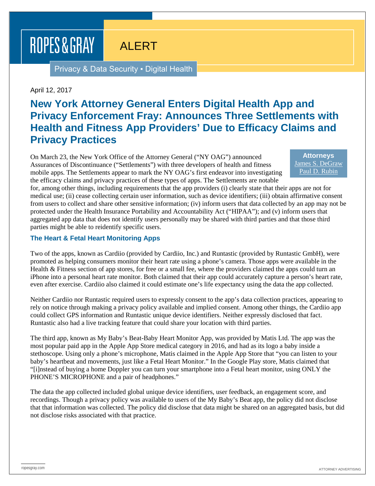# ROPES & GRAY

ALERT

Privacy & Data Security ▪ Digital Health

April 12, 2017

### **New York Attorney General Enters Digital Health App and Privacy Enforcement Fray: Announces Three Settlements with Health and Fitness App Providers' Due to Efficacy Claims and Privacy Practices**

On March 23, the New York Office of the Attorney General ("NY OAG") announced Assurances of Discontinuance ("Settlements") with three developers of health and fitness mobile apps. The Settlements appear to mark the NY OAG's first endeavor into investigating the efficacy claims and privacy practices of these types of apps. The Settlements are notable

**Attorneys** [James S. DeGraw](https://www.ropesgray.com/biographies/d/james-s-degraw.aspx) [Paul D. Rubin](https://www.ropesgray.com/biographies/r/paul-d-rubin.aspx)

for, among other things, including requirements that the app providers (i) clearly state that their apps are not for medical use; (ii) cease collecting certain user information, such as device identifiers; (iii) obtain affirmative consent from users to collect and share other sensitive information; (iv) inform users that data collected by an app may not be protected under the Health Insurance Portability and Accountability Act ("HIPAA"); and (v) inform users that aggregated app data that does not identify users personally may be shared with third parties and that those third parties might be able to reidentify specific users.

#### **The Heart & Fetal Heart Monitoring Apps**

Two of the apps, known as Cardiio (provided by Cardiio, Inc.) and Runtastic (provided by Runtastic GmbH), were promoted as helping consumers monitor their heart rate using a phone's camera. Those apps were available in the Health & Fitness section of app stores, for free or a small fee, where the providers claimed the apps could turn an iPhone into a personal heart rate monitor. Both claimed that their app could accurately capture a person's heart rate, even after exercise. Cardiio also claimed it could estimate one's life expectancy using the data the app collected.

Neither Cardiio nor Runtastic required users to expressly consent to the app's data collection practices, appearing to rely on notice through making a privacy policy available and implied consent. Among other things, the Cardiio app could collect GPS information and Runtastic unique device identifiers. Neither expressly disclosed that fact. Runtastic also had a live tracking feature that could share your location with third parties.

The third app, known as My Baby's Beat-Baby Heart Monitor App, was provided by Matis Ltd. The app was the most popular paid app in the Apple App Store medical category in 2016, and had as its logo a baby inside a stethoscope. Using only a phone's microphone, Matis claimed in the Apple App Store that "you can listen to your baby's heartbeat and movements, just like a Fetal Heart Monitor." In the Google Play store, Matis claimed that "[i]nstead of buying a home Doppler you can turn your smartphone into a Fetal heart monitor, using ONLY the PHONE'S MICROPHONE and a pair of headphones."

The data the app collected included global unique device identifiers, user feedback, an engagement score, and recordings. Though a privacy policy was available to users of the My Baby's Beat app, the policy did not disclose that that information was collected. The policy did disclose that data might be shared on an aggregated basis, but did not disclose risks associated with that practice.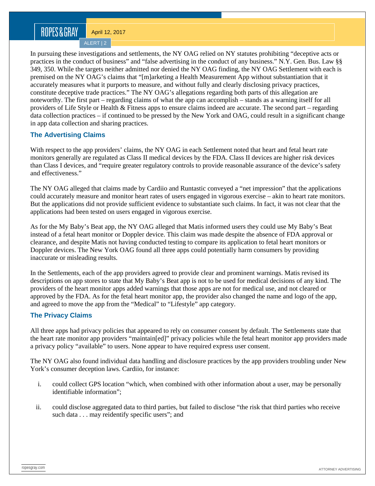### ROPES&GRAY

April 12, 2017

ALERT | 2

In pursuing these investigations and settlements, the NY OAG relied on NY statutes prohibiting "deceptive acts or practices in the conduct of business" and "false advertising in the conduct of any business." N.Y. Gen. Bus. Law §§ 349, 350. While the targets neither admitted nor denied the NY OAG finding, the NY OAG Settlement with each is premised on the NY OAG's claims that "[m]arketing a Health Measurement App without substantiation that it accurately measures what it purports to measure, and without fully and clearly disclosing privacy practices, constitute deceptive trade practices." The NY OAG's allegations regarding both parts of this allegation are noteworthy. The first part – regarding claims of what the app can accomplish – stands as a warning itself for all providers of Life Style or Health & Fitness apps to ensure claims indeed are accurate. The second part – regarding data collection practices – if continued to be pressed by the New York and OAG, could result in a significant change in app data collection and sharing practices.

#### **The Advertising Claims**

With respect to the app providers' claims, the NY OAG in each Settlement noted that heart and fetal heart rate monitors generally are regulated as Class II medical devices by the FDA. Class II devices are higher risk devices than Class I devices, and "require greater regulatory controls to provide reasonable assurance of the device's safety and effectiveness."

The NY OAG alleged that claims made by Cardiio and Runtastic conveyed a "net impression" that the applications could accurately measure and monitor heart rates of users engaged in vigorous exercise – akin to heart rate monitors. But the applications did not provide sufficient evidence to substantiate such claims. In fact, it was not clear that the applications had been tested on users engaged in vigorous exercise.

As for the My Baby's Beat app, the NY OAG alleged that Matis informed users they could use My Baby's Beat instead of a fetal heart monitor or Doppler device. This claim was made despite the absence of FDA approval or clearance, and despite Matis not having conducted testing to compare its application to fetal heart monitors or Doppler devices. The New York OAG found all three apps could potentially harm consumers by providing inaccurate or misleading results.

In the Settlements, each of the app providers agreed to provide clear and prominent warnings. Matis revised its descriptions on app stores to state that My Baby's Beat app is not to be used for medical decisions of any kind. The providers of the heart monitor apps added warnings that those apps are not for medical use, and not cleared or approved by the FDA. As for the fetal heart monitor app, the provider also changed the name and logo of the app, and agreed to move the app from the "Medical" to "Lifestyle" app category.

#### **The Privacy Claims**

All three apps had privacy policies that appeared to rely on consumer consent by default. The Settlements state that the heart rate monitor app providers "maintain[ed]" privacy policies while the fetal heart monitor app providers made a privacy policy "available" to users. None appear to have required express user consent.

The NY OAG also found individual data handling and disclosure practices by the app providers troubling under New York's consumer deception laws. Cardiio, for instance:

- i. could collect GPS location "which, when combined with other information about a user, may be personally identifiable information";
- ii. could disclose aggregated data to third parties, but failed to disclose "the risk that third parties who receive such data . . . may reidentify specific users"; and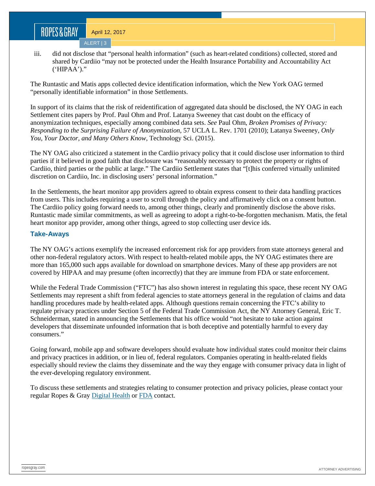### ROPES&GRAY

April 12, 2017

ALERT | 3

iii. did not disclose that "personal health information" (such as heart-related conditions) collected, stored and shared by Cardiio "may not be protected under the Health Insurance Portability and Accountability Act ('HIPAA')."

The Runtastic and Matis apps collected device identification information, which the New York OAG termed "personally identifiable information" in those Settlements.

In support of its claims that the risk of reidentification of aggregated data should be disclosed, the NY OAG in each Settlement cites papers by Prof. Paul Ohm and Prof. Latanya Sweeney that cast doubt on the efficacy of anonymization techniques, especially among combined data sets. *See* Paul Ohm, *Broken Promises of Privacy: Responding to the Surprising Failure of Anonymization*, 57 UCLA L. Rev. 1701 (2010); Latanya Sweeney, *Only You, Your Doctor, and Many Others Know*, Technology Sci. (2015).

The NY OAG also criticized a statement in the Cardiio privacy policy that it could disclose user information to third parties if it believed in good faith that disclosure was "reasonably necessary to protect the property or rights of Cardiio, third parties or the public at large." The Cardiio Settlement states that "[t]his conferred virtually unlimited discretion on Cardiio, Inc. in disclosing users' personal information."

In the Settlements, the heart monitor app providers agreed to obtain express consent to their data handling practices from users. This includes requiring a user to scroll through the policy and affirmatively click on a consent button. The Cardiio policy going forward needs to, among other things, clearly and prominently disclose the above risks. Runtastic made similar commitments, as well as agreeing to adopt a right-to-be-forgotten mechanism. Matis, the fetal heart monitor app provider, among other things, agreed to stop collecting user device ids.

#### **Take-Aways**

The NY OAG's actions exemplify the increased enforcement risk for app providers from state attorneys general and other non-federal regulatory actors. With respect to health-related mobile apps, the NY OAG estimates there are more than 165,000 such apps available for download on smartphone devices. Many of these app providers are not covered by HIPAA and may presume (often incorrectly) that they are immune from FDA or state enforcement.

While the Federal Trade Commission ("FTC") has also shown interest in regulating this space, these recent NY OAG Settlements may represent a shift from federal agencies to state attorneys general in the regulation of claims and data handling procedures made by health-related apps. Although questions remain concerning the FTC's ability to regulate privacy practices under Section 5 of the Federal Trade Commission Act, the NY Attorney General, Eric T. Schneiderman, stated in announcing the Settlements that his office would "not hesitate to take action against developers that disseminate unfounded information that is both deceptive and potentially harmful to every day consumers."

Going forward, mobile app and software developers should evaluate how individual states could monitor their claims and privacy practices in addition, or in lieu of, federal regulators. Companies operating in health-related fields especially should review the claims they disseminate and the way they engage with consumer privacy data in light of the ever-developing regulatory environment.

To discuss these settlements and strategies relating to consumer protection and privacy policies, please contact your regular Ropes & Gray [Digital Health](https://www.ropesgray.com/practices/Digital-Health.aspx) or [FDA](https://www.ropesgray.com/practices/FDA-Regulatory.aspx) contact.